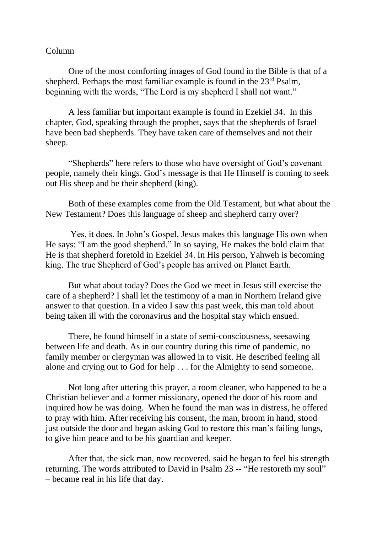## Column

One of the most comforting images of God found in the Bible is that of a shepherd. Perhaps the most familiar example is found in the  $23<sup>rd</sup>$  Psalm, beginning with the words, "The Lord is my shepherd I shall not want."

A less familiar but important example is found in Ezekiel 34. In this chapter, God, speaking through the prophet, says that the shepherds of Israel have been bad shepherds. They have taken care of themselves and not their sheep.

"Shepherds" here refers to those who have oversight of God's covenant people, namely their kings. God's message is that He Himself is coming to seek out His sheep and be their shepherd (king).

Both of these examples come from the Old Testament, but what about the New Testament? Does this language of sheep and shepherd carry over?

Yes, it does. In John's Gospel, Jesus makes this language His own when He says: "I am the good shepherd." In so saying, He makes the bold claim that He is that shepherd foretold in Ezekiel 34. In His person, Yahweh is becoming king. The true Shepherd of God's people has arrived on Planet Earth.

But what about today? Does the God we meet in Jesus still exercise the care of a shepherd? I shall let the testimony of a man in Northern Ireland give answer to that question. In a video I saw this past week, this man told about being taken ill with the coronavirus and the hospital stay which ensued.

There, he found himself in a state of semi-consciousness, seesawing between life and death. As in our country during this time of pandemic, no family member or clergyman was allowed in to visit. He described feeling all alone and crying out to God for help . . . for the Almighty to send someone.

Not long after uttering this prayer, a room cleaner, who happened to be a Christian believer and a former missionary, opened the door of his room and inquired how he was doing. When he found the man was in distress, he offered to pray with him. After receiving his consent, the man, broom in hand, stood just outside the door and began asking God to restore this man's failing lungs, to give him peace and to be his guardian and keeper.

After that, the sick man, now recovered, said he began to feel his strength returning. The words attributed to David in Psalm 23 -- "He restoreth my soul" – became real in his life that day.